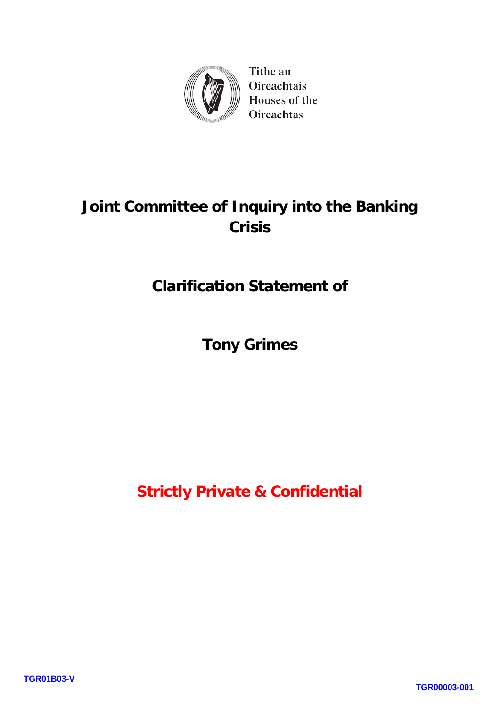

Tithe an Oireachtais Houses of the Oireachtas

# **Joint Committee of Inquiry into the Banking Crisis**

# **Clarification Statement of**

**Tony Grimes**

**Strictly Private & Confidential**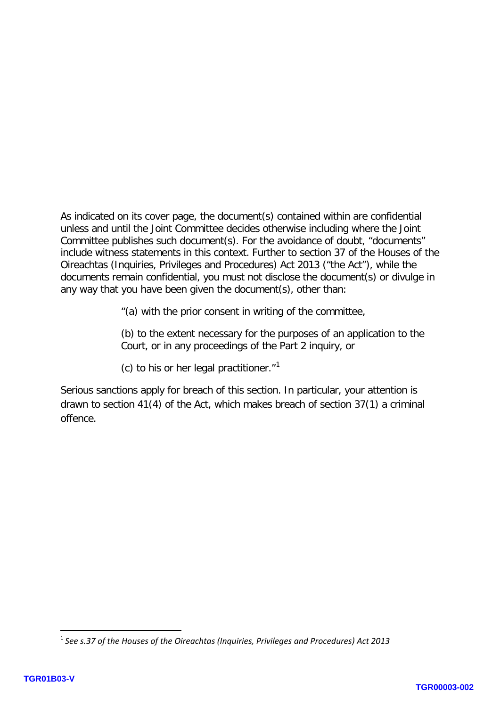As indicated on its cover page, the document(s) contained within are confidential unless and until the Joint Committee decides otherwise including where the Joint Committee publishes such document(s). For the avoidance of doubt, "documents" include witness statements in this context. Further to section 37 of the Houses of the Oireachtas (Inquiries, Privileges and Procedures) Act 2013 ("the Act"), while the documents remain confidential, you must not disclose the document(s) or divulge in any way that you have been given the document(s), other than:

"(a) with the prior consent in writing of the committee,

(b) to the extent necessary for the purposes of an application to the Court, or in any proceedings of the Part 2 inquiry, or

(c) to his or her legal practitioner. $1$ <sup>1</sup>

Serious sanctions apply for breach of this section. In particular, your attention is drawn to section 41(4) of the Act, which makes breach of section 37(1) a criminal offence.

**.** 

<span id="page-1-0"></span><sup>1</sup> *See s.37 of the Houses of the Oireachtas (Inquiries, Privileges and Procedures) Act 2013*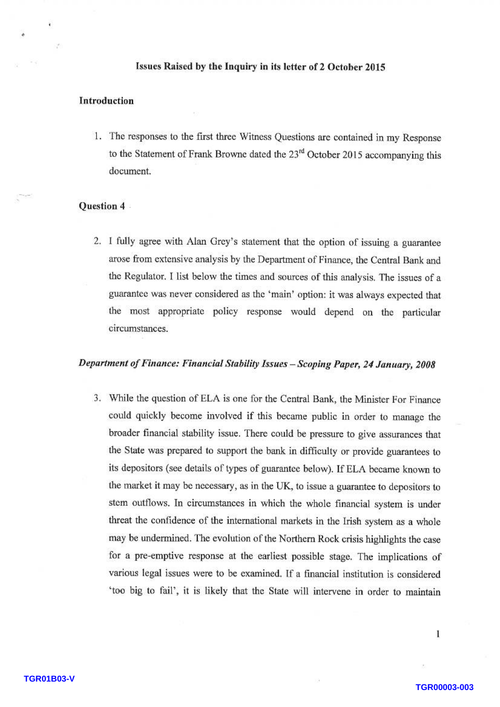#### Issues Raised by the Inquiry in its letter of 2 October 2015

#### Introduction

1. The responses to the first three Witness Questions are contained in my Response to the Statement of Frank Browne dated the  $23<sup>rd</sup>$  October 2015 accompanying this document.

#### Question 4

2. I fully agree with Alan Grey's statement that the option of issuing a guarantee arose from extensive analysis by the Department of Finance, the Central Bank and the Regulator. I list below the times and sources of this analysis. The issues of a guarantee was never considered as the 'main' option: it was always expected that the most appropriate policy response would depend on the particular circumstances.

### Department of Finance: Financial Stability Issues - Scoping Paper, 24 January, 2008

3. While the question of ELA is one for the Central Bank, the Minister For Finance could quickly become involved if this became public in order to manage the broader financial stability issue. There could be pressure to give assurances that the State was prepared to support the bank in difficulty or provide guarantees to its depositors (see details of types of guarantee below). If ELA became known to the market it may be necessary, as in the UK, to issue a guarantee to depositors to stem outflows. In circumstances in which the whole financial system is under threat the confidence of the international markets in the Irish system as a whole may be undermined. The evolution of the Northern Rock crisis highlights the case for a pre-emptive response at the earliest possible stage. The implications of various legal issues were to be examined. If a financial institution is considered 'too big to fail', it is likely that the State will intervene in order to maintain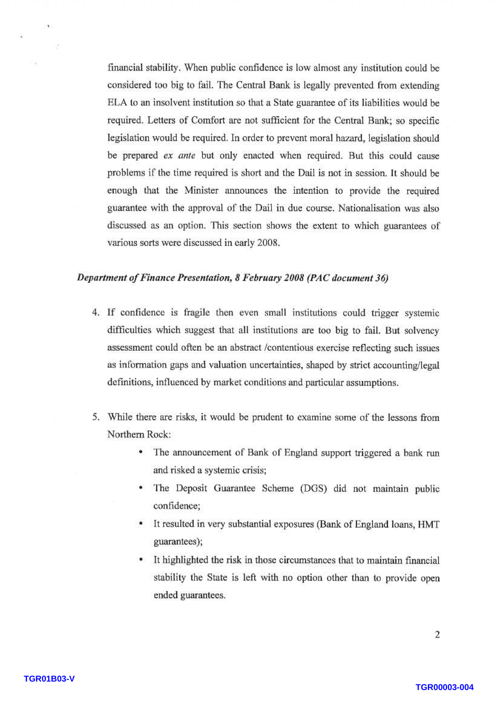financial stability. When public confidence is low almost any institution could be considered too big to fail. The Central Bank is legally prevented from extending ELA to an insolvent institution so that a State guarantee of its liabilities would be required. Letters of Comfort are not sufficient for the Central Bank; so specific legislation would be required. In order to prevent moral hazard, legislation should be prepared ex ante but only enacted when required. But this could cause problems if the time required is short and the Dail is not in session. It should be enough that the Minister announces the intention to provide the required guarantee with the approval of the Dail in due course. Nationalisation was also discussed as an option. This section shows the extent to which guarantees of various sorts were discussed in early 2008.

#### Department of Finance Presentation, 8 February 2008 (PAC document 36)

- 4. If confidence is fragile then even small institutions could trigger systemic difficulties which suggest that all institutions are too big to fail. But solvency assessment could often be an abstract /contentious exercise reflecting such issues as information gaps and valuation uncertainties, shaped by strict accounting/legal definitions, influenced by market conditions and particular assumptions.
- 5. While there are risks, it would be prudent to examine some of the lessons from Northern Rock:
	- The announcement of Bank of England support triggered a bank run and risked a systemic crisis;
	- The Deposit Guarantee Scheme (DGS) did not maintain public confidence;
	- It resulted in very substantial exposures (Bank of England loans, HMT guarantees);
	- It highlighted the risk in those circumstances that to maintain financial stability the State is left with no option other than to provide open ended guarantees.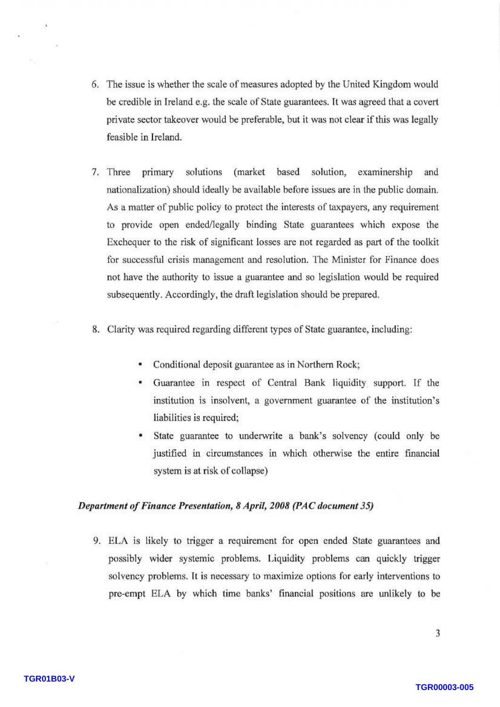- 6. The issue is whether the scale of measures adopted by the United Kingdom would be credible in Ireland e.g. the scale of State guarantees. It was agreed that a covert private sector takeover would be preferable, but it was not clear if this was legally feasible in Ireland.
- 7. Three primary solutions (market based solution, examinership and nationalization) should ideally be available before issues are in the public domain. As a matter of public policy to protect the interests of taxpayers, any requirement to provide open ended/legally binding State guarantees which expose the Exchequer to the risk of significant losses are not regarded as part of the toolkit for successful crisis management and resolution. The Minister for Finance does not have the authority to issue a guarantee and so legislation would be required subsequently. Accordingly, the draft legislation should be prepared.
- 8. Clarity was required regarding different types of State guarantee, including:
	- Conditional deposit guarantee as in Northern Rock;
	- Guarantee in respect of Central Bank liquidity support. If the institution is insolvent, a government guarantee of the institution's liabilities is required;
	- State guarantee to underwrite a bank's solvency (could only be justified in circumstances in which otherwise the entire financial system is at risk of collapse)

### Department of Finance Presentation, 8 April, 2008 (PAC document 35)

9. ELA is likely to trigger a requirement for open ended State guarantees and possibly wider systemic problems. Liquidity problems can quickly trigger solvency problems. It is necessary to maximize options for early interventions to pre-empt ELA by which time banks' financial positions are unlikely to be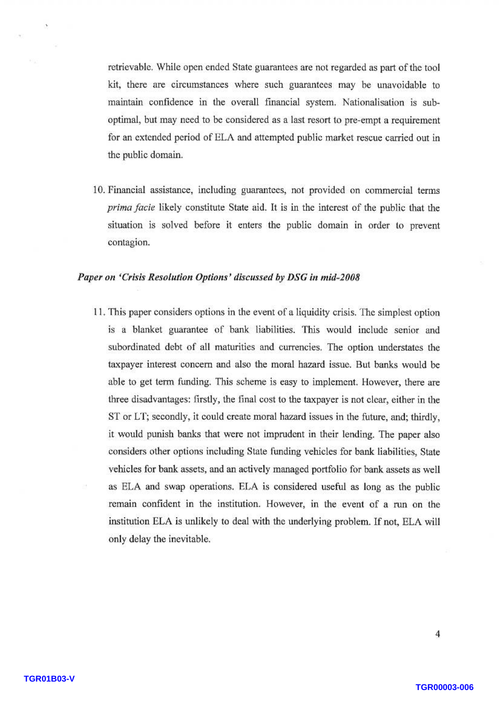retrievable. While open ended State guarantees are not regarded as part of the tool kit, there are circumstances where such guarantees may be unavoidable to maintain confidence in the overall financial system. Nationalisation is suboptimal, but may need to be considered as a last resort to pre-empt a requirement for an extended period of ELA and attempted public market rescue carried out in the public domain.

10. Financial assistance, including guarantees, not provided on commercial terms prima facie likely constitute State aid. It is in the interest of the public that the situation is solved before it enters the public domain in order to prevent contagion.

#### Paper on 'Crisis Resolution Options' discussed by DSG in mid-2008

11. This paper considers options in the event of a liquidity crisis. The simplest option is a blanket guarantee of bank liabilities. This would include senior and subordinated debt of all maturities and currencies. The option understates the taxpayer interest concern and also the moral hazard issue. But banks would be able to get term funding. This scheme is easy to implement. However, there are three disadvantages: firstly, the final cost to the taxpayer is not clear, either in the ST or LT; secondly, it could create moral hazard issues in the future, and; thirdly, it would punish banks that were not imprudent in their lending. The paper also considers other options including State funding vehicles for bank liabilities, State vehicles for bank assets, and an actively managed portfolio for bank assets as well as ELA and swap operations. ELA is considered useful as long as the public remain confident in the institution. However, in the event of a run on the institution ELA is unlikely to deal with the underlying problem. If not, ELA will only delay the inevitable.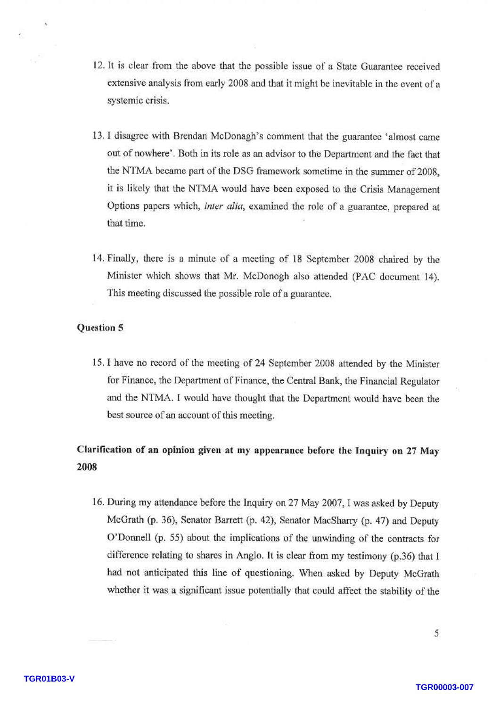- 12. It is clear from the above that the possible issue of a State Guarantee received extensive analysis from early 2008 and that it might be inevitable in the event of a systemic crisis.
- 13. I disagree with Brendan McDonagh's comment that the guarantee 'almost came out of nowhere'. Both in its role as an advisor to the Department and the fact that the NTMA became part of the DSG framework sometime in the summer of 2008, it is likely that the NTMA would have been exposed to the Crisis Management Options papers which, inter alia, examined the role of a guarantee, prepared at that time.
- 14. Finally, there is a minute of a meeting of 18 September 2008 chaired by the Minister which shows that Mr. McDonogh also attended (PAC document 14). This meeting discussed the possible role of a guarantee.

#### Question 5

15. I have no record of the meeting of 24 September 2008 attended by the Minister for Finance, the Department of Finance, the Central Bank, the Financial Regulator and the NTMA. I would have thought that the Department would have been the best source of an account of this meeting.

## Clarification of an opinion given at my appearance before the Inquiry on 27 May 2008

16. During my attendance before the Inquiry on 27 May 2007, I was asked by Deputy McGrath (p. 36), Senator Barrett (p. 42), Senator MacSharry (p. 47) and Deputy O'Donnell (p. 55) about the implications of the unwinding of the contracts for difference relating to shares in Anglo. It is clear from my testimony (p.36) that I had not anticipated this line of questioning. When asked by Deputy McGrath whether it was a significant issue potentially that could affect the stability of the